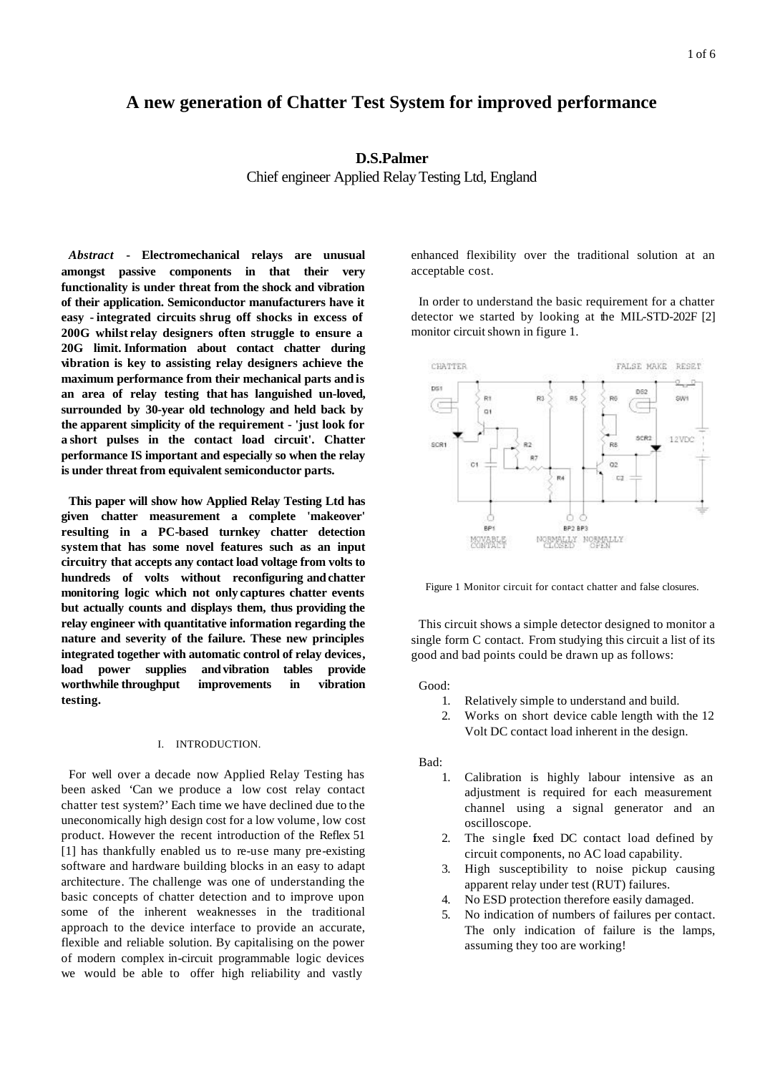# **A new generation of Chatter Test System for improved performance**

# **D.S.Palmer**

Chief engineer Applied Relay Testing Ltd, England

*Abstract* **- Electromechanical relays are unusual amongst passive components in that their very functionality is under threat from the shock and vibration of their application. Semiconductor manufacturers have it easy - integrated circuits shrug off shocks in excess of 200G whilst relay designers often struggle to ensure a 20G limit. Information about contact chatter during vibration is key to assisting relay designers achieve the maximum performance from their mechanical parts andis an area of relay testing that has languished un-loved, surrounded by 30-year old technology and held back by the apparent simplicity of the requirement - 'just look for a short pulses in the contact load circuit'. Chatter performance IS important and especially so when the relay is under threat from equivalent semiconductor parts.**

**This paper will show how Applied Relay Testing Ltd has given chatter measurement a complete 'makeover' resulting in a PC-based turnkey chatter detection system that has some novel features such as an input circuitry that accepts any contact load voltage from volts to hundreds of volts without reconfiguring andchatter monitoring logic which not only captures chatter events but actually counts and displays them, thus providing the relay engineer with quantitative information regarding the nature and severity of the failure. These new principles integrated together with automatic control of relay devices, load power supplies andvibration tables provide worthwhile throughput improvements in vibration testing.** 

# I. INTRODUCTION.

For well over a decade now Applied Relay Testing has been asked 'Can we produce a low cost relay contact chatter test system?' Each time we have declined due to the uneconomically high design cost for a low volume, low cost product. However the recent introduction of the Reflex 51 [1] has thankfully enabled us to re-use many pre-existing software and hardware building blocks in an easy to adapt architecture. The challenge was one of understanding the basic concepts of chatter detection and to improve upon some of the inherent weaknesses in the traditional approach to the device interface to provide an accurate, flexible and reliable solution. By capitalising on the power of modern complex in-circuit programmable logic devices we would be able to offer high reliability and vastly

enhanced flexibility over the traditional solution at an acceptable cost.

In order to understand the basic requirement for a chatter detector we started by looking at the MIL-STD-202F [2] monitor circuit shown in figure 1.



Figure 1 Monitor circuit for contact chatter and false closures.

This circuit shows a simple detector designed to monitor a single form C contact. From studying this circuit a list of its good and bad points could be drawn up as follows:

Good:

- 1. Relatively simple to understand and build.
- 2. Works on short device cable length with the 12 Volt DC contact load inherent in the design.

Bad:

- 1. Calibration is highly labour intensive as an adjustment is required for each measurement channel using a signal generator and an oscilloscope.
- 2. The single fixed DC contact load defined by circuit components, no AC load capability.
- 3. High susceptibility to noise pickup causing apparent relay under test (RUT) failures.
- 4. No ESD protection therefore easily damaged.
- 5. No indication of numbers of failures per contact. The only indication of failure is the lamps, assuming they too are working!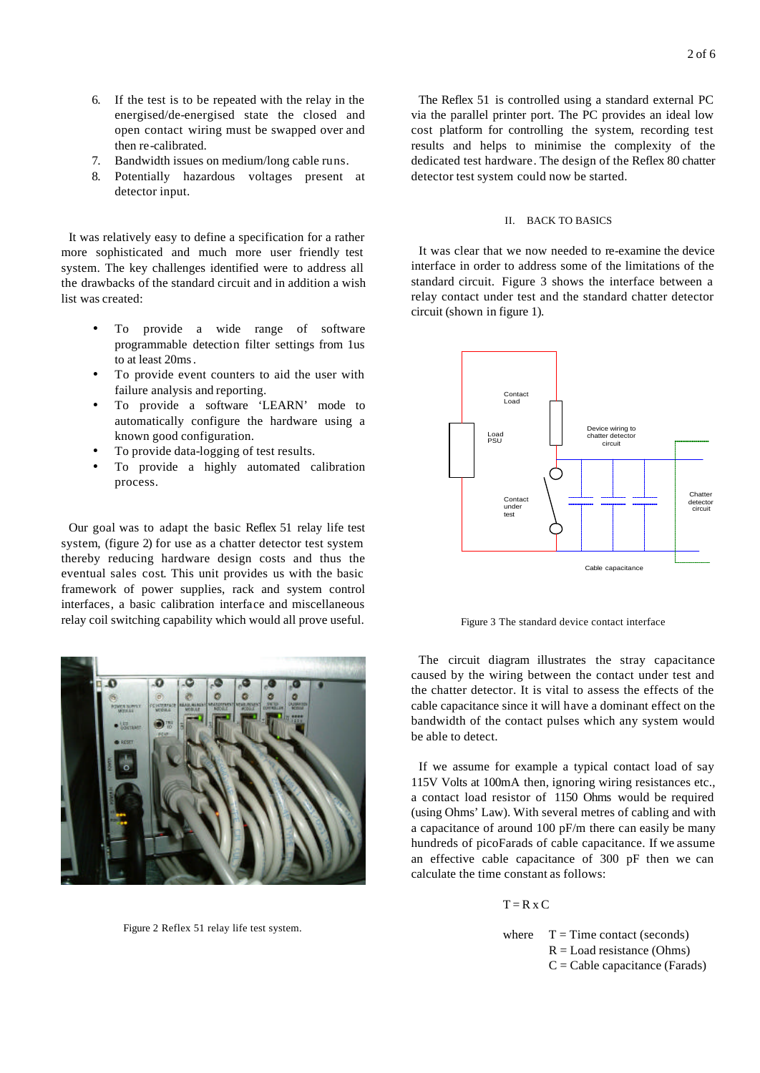- 6. If the test is to be repeated with the relay in the energised/de-energised state the closed and open contact wiring must be swapped over and then re-calibrated.
- 7. Bandwidth issues on medium/long cable runs.
- 8. Potentially hazardous voltages present at detector input.

It was relatively easy to define a specification for a rather more sophisticated and much more user friendly test system. The key challenges identified were to address all the drawbacks of the standard circuit and in addition a wish list was created:

- To provide a wide range of software programmable detection filter settings from 1us to at least 20ms.
- To provide event counters to aid the user with failure analysis and reporting.
- To provide a software 'LEARN' mode to automatically configure the hardware using a known good configuration.
- To provide data-logging of test results.
- To provide a highly automated calibration process.

Our goal was to adapt the basic Reflex 51 relay life test system, (figure 2) for use as a chatter detector test system thereby reducing hardware design costs and thus the eventual sales cost. This unit provides us with the basic framework of power supplies, rack and system control interfaces, a basic calibration interface and miscellaneous relay coil switching capability which would all prove useful.



Figure 2 Reflex 51 relay life test system.

The Reflex 51 is controlled using a standard external PC via the parallel printer port. The PC provides an ideal low cost platform for controlling the system, recording test results and helps to minimise the complexity of the dedicated test hardware. The design of the Reflex 80 chatter detector test system could now be started.

### II. BACK TO BASICS

It was clear that we now needed to re-examine the device interface in order to address some of the limitations of the standard circuit. Figure 3 shows the interface between a relay contact under test and the standard chatter detector circuit (shown in figure 1).



Figure 3 The standard device contact interface

The circuit diagram illustrates the stray capacitance caused by the wiring between the contact under test and the chatter detector. It is vital to assess the effects of the cable capacitance since it will have a dominant effect on the bandwidth of the contact pulses which any system would be able to detect.

If we assume for example a typical contact load of say 115V Volts at 100mA then, ignoring wiring resistances etc., a contact load resistor of 1150 Ohms would be required (using Ohms' Law). With several metres of cabling and with a capacitance of around 100 pF/m there can easily be many hundreds of picoFarads of cable capacitance. If we assume an effective cable capacitance of 300 pF then we can calculate the time constant as follows:

 $T = R x C$ 

where  $T = Time contact$  (seconds)  $R =$ Load resistance (Ohms)  $C =$ Cable capacitance (Farads)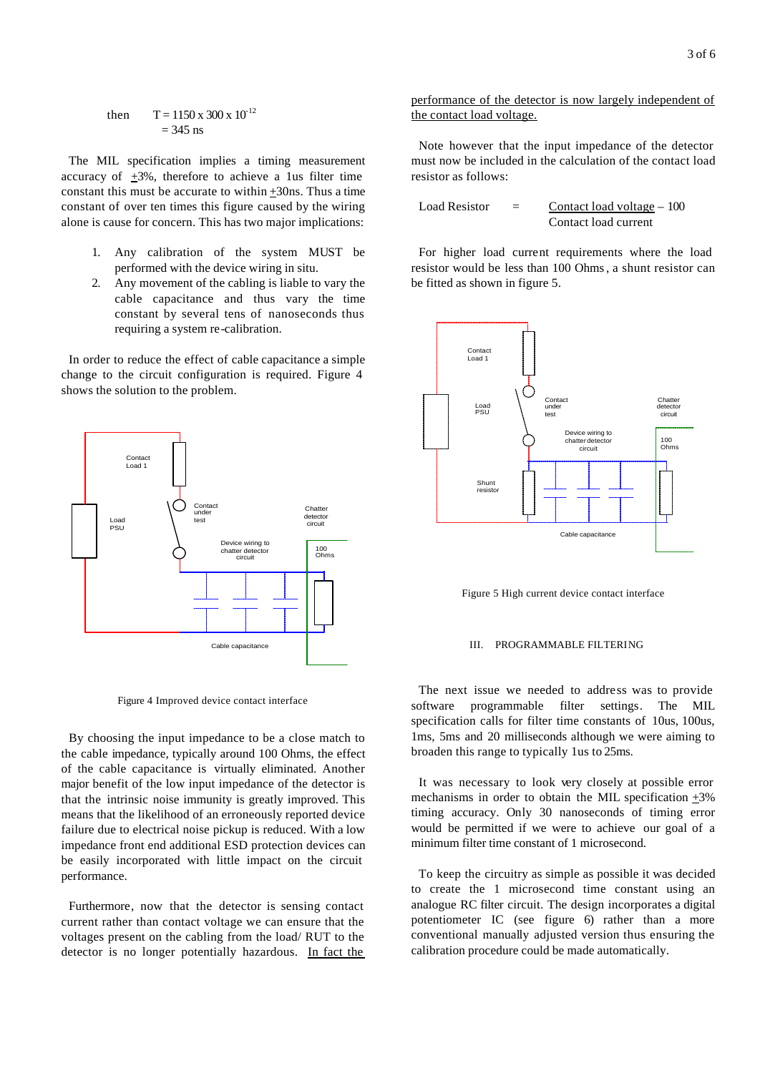then 
$$
T = 1150 \text{ x } 300 \text{ x } 10^{-12}
$$
  
= 345 ns

The MIL specification implies a timing measurement accuracy of +3%, therefore to achieve a 1us filter time constant this must be accurate to within +30ns. Thus a time constant of over ten times this figure caused by the wiring alone is cause for concern. This has two major implications:

- 1. Any calibration of the system MUST be performed with the device wiring in situ.
- 2. Any movement of the cabling is liable to vary the cable capacitance and thus vary the time constant by several tens of nanoseconds thus requiring a system re-calibration.

In order to reduce the effect of cable capacitance a simple change to the circuit configuration is required. Figure 4 shows the solution to the problem.



Figure 4 Improved device contact interface

By choosing the input impedance to be a close match to the cable impedance, typically around 100 Ohms, the effect of the cable capacitance is virtually eliminated. Another major benefit of the low input impedance of the detector is that the intrinsic noise immunity is greatly improved. This means that the likelihood of an erroneously reported device failure due to electrical noise pickup is reduced. With a low impedance front end additional ESD protection devices can be easily incorporated with little impact on the circuit performance.

Furthermore, now that the detector is sensing contact current rather than contact voltage we can ensure that the voltages present on the cabling from the load/ RUT to the detector is no longer potentially hazardous. In fact the

## performance of the detector is now largely independent of the contact load voltage.

Note however that the input impedance of the detector must now be included in the calculation of the contact load resistor as follows:

Load Resistor  $=$  Contact load voltage – 100 Contact load current

For higher load current requirements where the load resistor would be less than 100 Ohms, a shunt resistor can be fitted as shown in figure 5.



Figure 5 High current device contact interface

#### III. PROGRAMMABLE FILTERING

The next issue we needed to address was to provide software programmable filter settings. The MIL specification calls for filter time constants of 10us, 100us, 1ms, 5ms and 20 milliseconds although we were aiming to broaden this range to typically 1us to 25ms.

It was necessary to look very closely at possible error mechanisms in order to obtain the MIL specification +3% timing accuracy. Only 30 nanoseconds of timing error would be permitted if we were to achieve our goal of a minimum filter time constant of 1 microsecond.

To keep the circuitry as simple as possible it was decided to create the 1 microsecond time constant using an analogue RC filter circuit. The design incorporates a digital potentiometer IC (see figure 6) rather than a more conventional manually adjusted version thus ensuring the calibration procedure could be made automatically.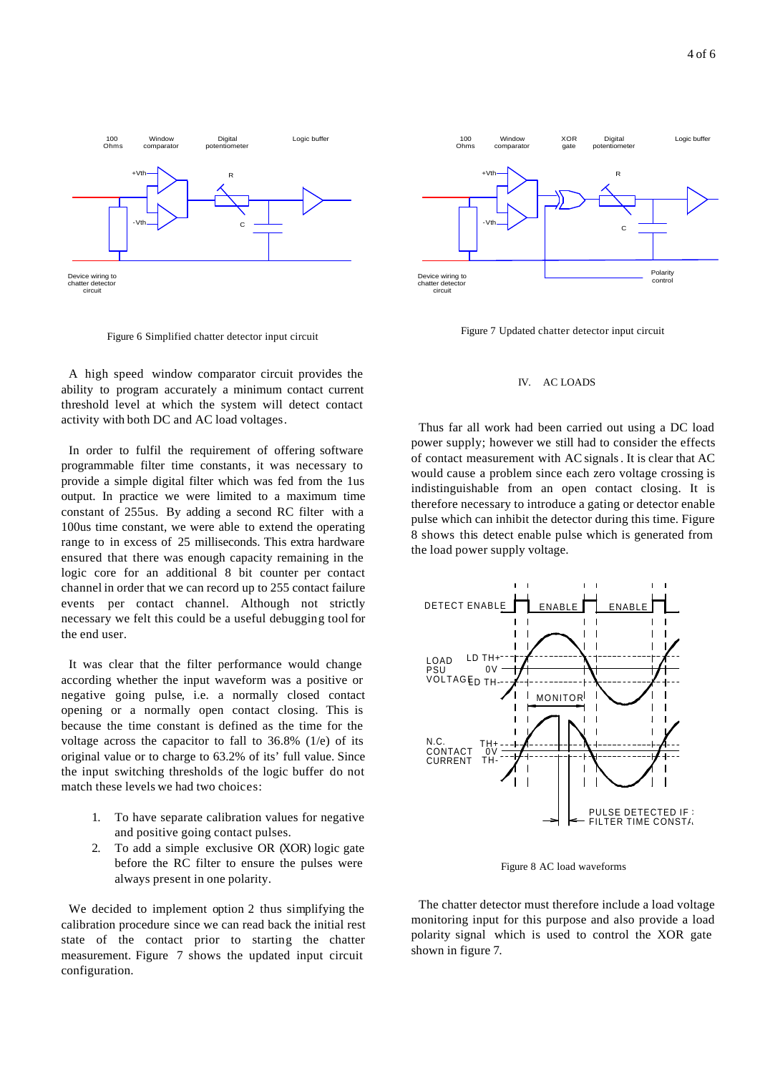

Figure 6 Simplified chatter detector input circuit

A high speed window comparator circuit provides the ability to program accurately a minimum contact current threshold level at which the system will detect contact activity with both DC and AC load voltages.

In order to fulfil the requirement of offering software programmable filter time constants, it was necessary to provide a simple digital filter which was fed from the 1us output. In practice we were limited to a maximum time constant of 255us. By adding a second RC filter with a 100us time constant, we were able to extend the operating range to in excess of 25 milliseconds. This extra hardware ensured that there was enough capacity remaining in the logic core for an additional 8 bit counter per contact channel in order that we can record up to 255 contact failure events per contact channel. Although not strictly necessary we felt this could be a useful debugging tool for the end user.

It was clear that the filter performance would change according whether the input waveform was a positive or negative going pulse, i.e. a normally closed contact opening or a normally open contact closing. This is because the time constant is defined as the time for the voltage across the capacitor to fall to  $36.8\%$  (1/e) of its original value or to charge to 63.2% of its' full value. Since the input switching thresholds of the logic buffer do not match these levels we had two choices:

- 1. To have separate calibration values for negative and positive going contact pulses.
- 2. To add a simple exclusive OR (XOR) logic gate before the RC filter to ensure the pulses were always present in one polarity.

We decided to implement option 2 thus simplifying the calibration procedure since we can read back the initial rest state of the contact prior to starting the chatter measurement. Figure 7 shows the updated input circuit configuration.



Figure 7 Updated chatter detector input circuit

#### IV. AC LOADS

Thus far all work had been carried out using a DC load power supply; however we still had to consider the effects of contact measurement with AC signals. It is clear that AC would cause a problem since each zero voltage crossing is indistinguishable from an open contact closing. It is therefore necessary to introduce a gating or detector enable pulse which can inhibit the detector during this time. Figure 8 shows this detect enable pulse which is generated from the load power supply voltage.



Figure 8 AC load waveforms

The chatter detector must therefore include a load voltage monitoring input for this purpose and also provide a load polarity signal which is used to control the XOR gate shown in figure 7.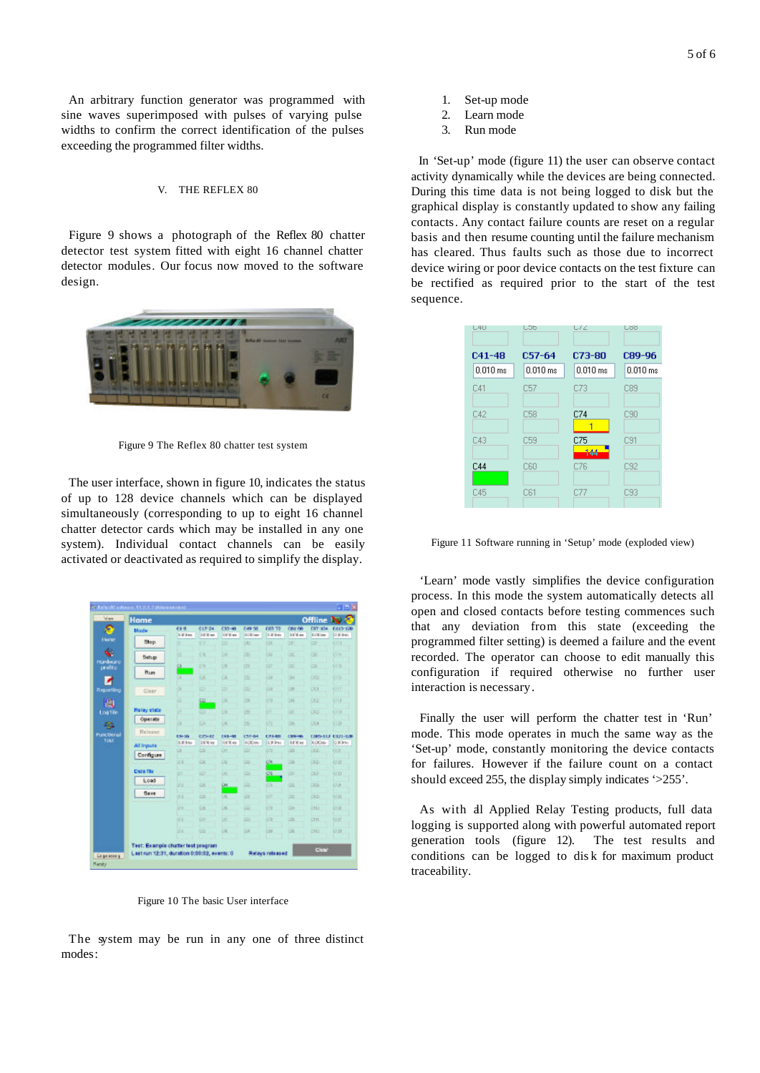An arbitrary function generator was programmed with sine waves superimposed with pulses of varying pulse widths to confirm the correct identification of the pulses exceeding the programmed filter widths.

### V. THE REFLEX 80

Figure 9 shows a photograph of the Reflex 80 chatter detector test system fitted with eight 16 channel chatter detector modules. Our focus now moved to the software design.



Figure 9 The Reflex 80 chatter test system

The user interface, shown in figure 10, indicates the status of up to 128 device channels which can be displayed simultaneously (corresponding to up to eight 16 channel chatter detector cards which may be installed in any one system). Individual contact channels can be easily activated or deactivated as required to simplify the display.

| Home           |                 |                   |                        |                   |                       |                  | Offline               | N <sub>R</sub>                    |
|----------------|-----------------|-------------------|------------------------|-------------------|-----------------------|------------------|-----------------------|-----------------------------------|
| <b>Black</b>   | CE-S<br>3.3 Sec | 017-24<br>16'E wt | 00540<br><b>SEE</b> or | 049-98<br>dolt im | 065-72<br><b>GRIM</b> | 061.06<br>38'S m | 097-934<br><b>KOD</b> | <b>CIES-120</b><br><b>Distant</b> |
| <b>Step</b>    | ٠               | YH.               | m                      | DO.               | 138                   | w                | ÷                     | CU <sub>2</sub>                   |
| Setup          | и               | ex.               | ы                      | D3U               | $\overline{a}$        | œ                | <b>CU</b>             | (TTE                              |
|                | α               | EN.               | ü                      | 09                | цr                    | œ                | 000                   | 613                               |
| Ffum.          | π               | <b>DR</b>         | DA                     | ш                 | <b>CTA</b>            | <b>CRA</b>       | <b>CY33</b>           | UЦ                                |
| <b>Cidar</b>   | œ               | m                 | ш                      | œ                 | <b>GUI</b>            | œ                | CCI                   | <b>GTTT</b>                       |
|                | ш               | 国.                | <b>DK</b>              | <b>US</b>         | C/3                   | <b>UA</b>        | <b>CKU</b>            | UU                                |
| Relay state    | ь               | ED.               | OX                     | izti              | <b>ETT</b>            | w                | CKD                   | 6.1.1.38                          |
| Operate        | ш               | <b>TO</b>         | ÜK.                    | US-               | US                    | òм               | <b>CO</b>             | l 138                             |
| <b>Release</b> | 136-35          | <b>crisis</b>     | $183 - 88$             | 127-04            | 1213-900              | <b>CRAHA</b>     |                       | 1305-112 1321-328                 |
| All Inputs     | 3.83%           | <b>EXTRA</b>      | <b>HERAL</b>           | 0.00m             | 0.00 km               | <b>BEW</b> se-   | COOm-                 | <b>GRIAN</b>                      |
| Configure      | ū               | <b>LS</b>         | DT.                    | ≕                 | ch                    | <b>CHI</b>       | <b>CEE</b>            | <b>ktzt</b>                       |
|                | Шâ              | <b>DE</b>         | Ltd                    | ш                 | CN.                   | m                | <b>BL</b>             | Li zi                             |
| Deta file      | m r             | w                 | <b>Ext</b>             | 009               | os.                   | <b>CET</b>       | œ                     | <b>GSE</b>                        |
| Load           | 33              | ы                 | GH.                    | <b>DO</b>         | Ch.                   | ш                | <b>DU</b>             | US                                |
| <b>Base</b>    | $\pm i$         | $\equiv$          | DK:                    | 山                 | <b>DO</b>             | m                | <b>COL</b>            | <b>G16</b>                        |
|                | 329             | CX.               | Lik                    | œ                 | C'I                   | <b>Chair</b>     | <b>CHO</b>            | <b>USI</b>                        |
|                | $\pm 1$         | <b>SIT</b>        | 10O                    | 000               | m                     | œ                | CITT                  | <b>kipi</b>                       |
|                | 32.91           | ш                 | u                      | <b>CUA</b>        | <b>CSI</b>            | œ                | <b>Litz</b>           | <b>Ltdr</b>                       |

Figure 10 The basic User interface

The system may be run in any one of three distinct modes:

- 1. Set-up mode
- 2. Learn mode
- 3. Run mode

In 'Set-up' mode (figure 11) the user can observe contact activity dynamically while the devices are being connected. During this time data is not being logged to disk but the graphical display is constantly updated to show any failing contacts. Any contact failure counts are reset on a regular basis and then resume counting until the failure mechanism has cleared. Thus faults such as those due to incorrect device wiring or poor device contacts on the test fixture can be rectified as required prior to the start of the test sequence.

| U4U        | LOD.       | しょく        | Löö        |  |
|------------|------------|------------|------------|--|
| $C41-48$   | $C57 - 64$ | C73-80     | C89-96     |  |
| $0.010$ ms | $0.010$ ms | $0.010$ ms | $0.010$ ms |  |
| C41        | C57        | C73        | C89        |  |
| C42        | C58        | C74<br>ï   | C90        |  |
| C43        | C59        | C75<br>144 | C91        |  |
| C44        | <b>C60</b> | C76        | C92        |  |
| C45        | C61        | C77        | C93        |  |

Figure 11 Software running in 'Setup' mode (exploded view)

'Learn' mode vastly simplifies the device configuration process. In this mode the system automatically detects all open and closed contacts before testing commences such that any deviation from this state (exceeding the programmed filter setting) is deemed a failure and the event recorded. The operator can choose to edit manually this configuration if required otherwise no further user interaction is necessary.

Finally the user will perform the chatter test in 'Run' mode. This mode operates in much the same way as the 'Set-up' mode, constantly monitoring the device contacts for failures. However if the failure count on a contact should exceed 255, the display simply indicates '>255'.

As with all Applied Relay Testing products, full data logging is supported along with powerful automated report generation tools (figure 12). The test results and conditions can be logged to dis k for maximum product traceability.